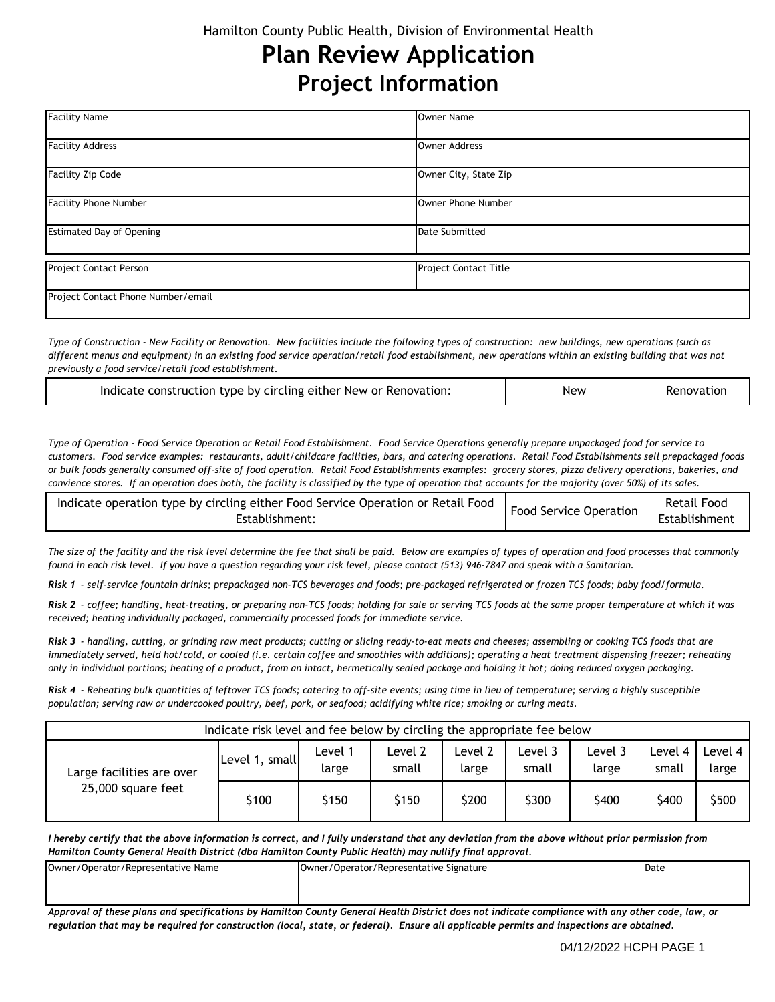# **Plan Review Application Project Information**

| <b>Facility Name</b>               | <b>Owner Name</b>            |
|------------------------------------|------------------------------|
| <b>Facility Address</b>            | <b>Owner Address</b>         |
| <b>Facility Zip Code</b>           | Owner City, State Zip        |
| <b>Facility Phone Number</b>       | Owner Phone Number           |
| <b>Estimated Day of Opening</b>    | <b>Date Submitted</b>        |
| Project Contact Person             | <b>Project Contact Title</b> |
| Project Contact Phone Number/email |                              |

*Type of Construction - New Facility or Renovation. New facilities include the following types of construction: new buildings, new operations (such as different menus and equipment) in an existing food service operation/retail food establishment, new operations within an existing building that was not previously a food service/retail food establishment.*

| Indicate construction type by circling either New or Renovation: | <b>New</b> | Renovatior |
|------------------------------------------------------------------|------------|------------|
|------------------------------------------------------------------|------------|------------|

*Type of Operation - Food Service Operation or Retail Food Establishment. Food Service Operations generally prepare unpackaged food for service to customers. Food service examples: restaurants, adult/childcare facilities, bars, and catering operations. Retail Food Establishments sell prepackaged foods or bulk foods generally consumed off-site of food operation. Retail Food Establishments examples: grocery stores, pizza delivery operations, bakeries, and convience stores. If an operation does both, the facility is classified by the type of operation that accounts for the majority (over 50%) of its sales.*

| indicate operation type by circling either Food Service Operation or Retail Food   Food Service Operation   Ketau Fr<br>Establishment: |  | Retail Food<br>Establishment |
|----------------------------------------------------------------------------------------------------------------------------------------|--|------------------------------|
|----------------------------------------------------------------------------------------------------------------------------------------|--|------------------------------|

*The size of the facility and the risk level determine the fee that shall be paid. Below are examples of types of operation and food processes that commonly found in each risk level. If you have a question regarding your risk level, please contact (513) 946-7847 and speak with a Sanitarian.*

*Risk 1 - self-service fountain drinks; prepackaged non-TCS beverages and foods; pre-packaged refrigerated or frozen TCS foods; baby food/formula.*

*Risk 2 - coffee; handling, heat-treating, or preparing non-TCS foods; holding for sale or serving TCS foods at the same proper temperature at which it was received; heating individually packaged, commercially processed foods for immediate service.*

*Risk 3 - handling, cutting, or grinding raw meat products; cutting or slicing ready-to-eat meats and cheeses; assembling or cooking TCS foods that are immediately served, held hot/cold, or cooled (i.e. certain coffee and smoothies with additions); operating a heat treatment dispensing freezer; reheating only in individual portions; heating of a product, from an intact, hermetically sealed package and holding it hot; doing reduced oxygen packaging.*

*Risk 4 - Reheating bulk quantities of leftover TCS foods; catering to off-site events; using time in lieu of temperature; serving a highly susceptible population; serving raw or undercooked poultry, beef, pork, or seafood; acidifying white rice; smoking or curing meats.*

| Indicate risk level and fee below by circling the appropriate fee below |                |                  |                  |                  |                 |                  |                    |                  |
|-------------------------------------------------------------------------|----------------|------------------|------------------|------------------|-----------------|------------------|--------------------|------------------|
| Large facilities are over<br>25,000 square feet                         | Level 1, small | Level 1<br>large | Level 2<br>small | Level 2<br>large | evel 3<br>small | Level 3<br>large | Level 4 I<br>small | Level 4<br>large |
|                                                                         | \$100          | \$150            | \$150            | \$200            | \$300           | \$400            | \$400              | \$500            |

*I hereby certify that the above information is correct, and I fully understand that any deviation from the above without prior permission from Hamilton County General Health District (dba Hamilton County Public Health) may nullify final approval.*

| Owner/Operator/Representative Name | Owner/Operator/Representative Signature | Date |
|------------------------------------|-----------------------------------------|------|
|                                    |                                         |      |
|                                    |                                         |      |
|                                    |                                         |      |

*Approval of these plans and specifications by Hamilton County General Health District does not indicate compliance with any other code, law, or regulation that may be required for construction (local, state, or federal). Ensure all applicable permits and inspections are obtained.*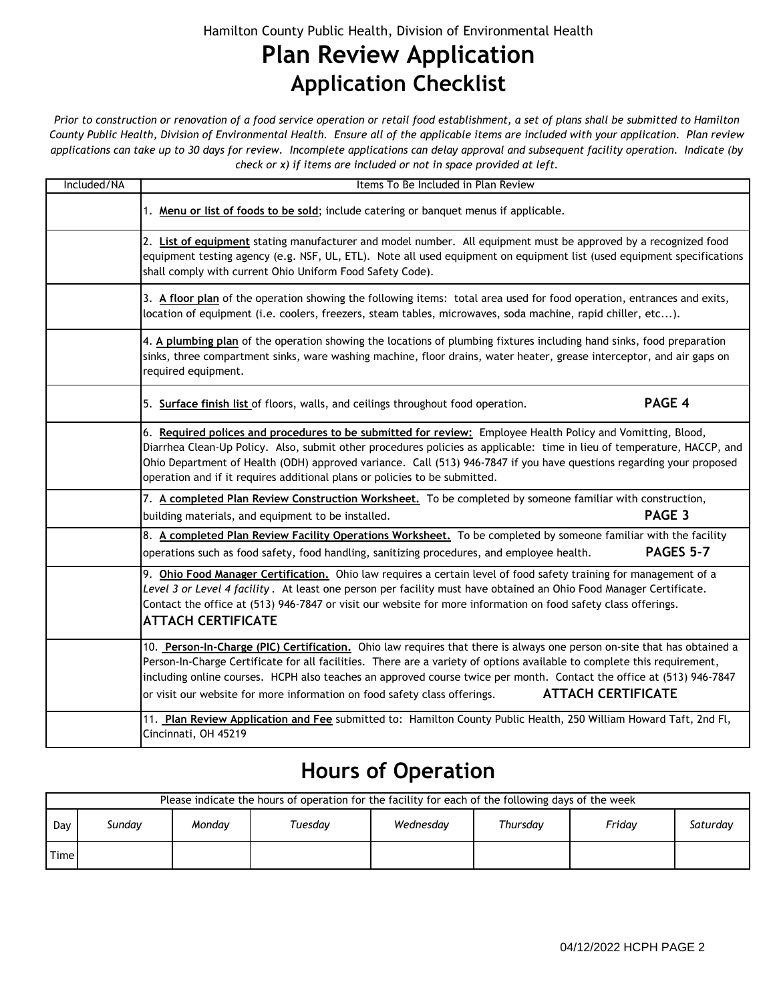#### Hamilton County Public Health, Division of Environmental Health

## **Plan Review Application Application Checklist**

*Prior to construction or renovation of a food service operation or retail food establishment, a set of plans shall be submitted to Hamilton County Public Health, Division of Environmental Health. Ensure all of the applicable items are included with your application. Plan review applications can take up to 30 days for review. Incomplete applications can delay approval and subsequent facility operation. Indicate (by check or x) if items are included or not in space provided at left.*

| Included/NA | Items To Be Included in Plan Review                                                                                                                                                                                                                                                                                                                                                                                                                                                  |  |
|-------------|--------------------------------------------------------------------------------------------------------------------------------------------------------------------------------------------------------------------------------------------------------------------------------------------------------------------------------------------------------------------------------------------------------------------------------------------------------------------------------------|--|
|             | 1. Menu or list of foods to be sold; include catering or banquet menus if applicable.                                                                                                                                                                                                                                                                                                                                                                                                |  |
|             | 2. List of equipment stating manufacturer and model number. All equipment must be approved by a recognized food<br>equipment testing agency (e.g. NSF, UL, ETL). Note all used equipment on equipment list (used equipment specifications<br>shall comply with current Ohio Uniform Food Safety Code).                                                                                                                                                                               |  |
|             | 3. A floor plan of the operation showing the following items: total area used for food operation, entrances and exits,<br>location of equipment (i.e. coolers, freezers, steam tables, microwaves, soda machine, rapid chiller, etc).                                                                                                                                                                                                                                                |  |
|             | 4. A plumbing plan of the operation showing the locations of plumbing fixtures including hand sinks, food preparation<br>sinks, three compartment sinks, ware washing machine, floor drains, water heater, grease interceptor, and air gaps on<br>required equipment.                                                                                                                                                                                                                |  |
|             | PAGE 4<br>5. Surface finish list of floors, walls, and ceilings throughout food operation.                                                                                                                                                                                                                                                                                                                                                                                           |  |
|             | 6. Required polices and procedures to be submitted for review: Employee Health Policy and Vomitting, Blood,<br>Diarrhea Clean-Up Policy. Also, submit other procedures policies as applicable: time in lieu of temperature, HACCP, and<br>Ohio Department of Health (ODH) approved variance. Call (513) 946-7847 if you have questions regarding your proposed<br>operation and if it requires additional plans or policies to be submitted.                                         |  |
|             | 7. A completed Plan Review Construction Worksheet. To be completed by someone familiar with construction,                                                                                                                                                                                                                                                                                                                                                                            |  |
|             | PAGE 3<br>building materials, and equipment to be installed.                                                                                                                                                                                                                                                                                                                                                                                                                         |  |
|             | 8. A completed Plan Review Facility Operations Worksheet. To be completed by someone familiar with the facility<br><b>PAGES 5-7</b><br>operations such as food safety, food handling, sanitizing procedures, and employee health.                                                                                                                                                                                                                                                    |  |
|             | 9. Ohio Food Manager Certification. Ohio law requires a certain level of food safety training for management of a<br>Level 3 or Level 4 facility. At least one person per facility must have obtained an Ohio Food Manager Certificate.<br>Contact the office at (513) 946-7847 or visit our website for more information on food safety class offerings.<br><b>ATTACH CERTIFICATE</b>                                                                                               |  |
|             | 10. Person-In-Charge (PIC) Certification. Ohio law requires that there is always one person on-site that has obtained a<br>Person-In-Charge Certificate for all facilities. There are a variety of options available to complete this requirement,<br>including online courses. HCPH also teaches an approved course twice per month. Contact the office at (513) 946-7847<br><b>ATTACH CERTIFICATE</b><br>or visit our website for more information on food safety class offerings. |  |
|             | 11. Plan Review Application and Fee submitted to: Hamilton County Public Health, 250 William Howard Taft, 2nd Fl,<br>Cincinnati, OH 45219                                                                                                                                                                                                                                                                                                                                            |  |

### **Hours of Operation**

|      | Please indicate the hours of operation for the facility for each of the following days of the week |        |         |           |          |        |          |  |  |
|------|----------------------------------------------------------------------------------------------------|--------|---------|-----------|----------|--------|----------|--|--|
| Day  | Sundav                                                                                             | Mondav | Tuesday | Wednesday | Thursdav | Fridav | Saturday |  |  |
| Time |                                                                                                    |        |         |           |          |        |          |  |  |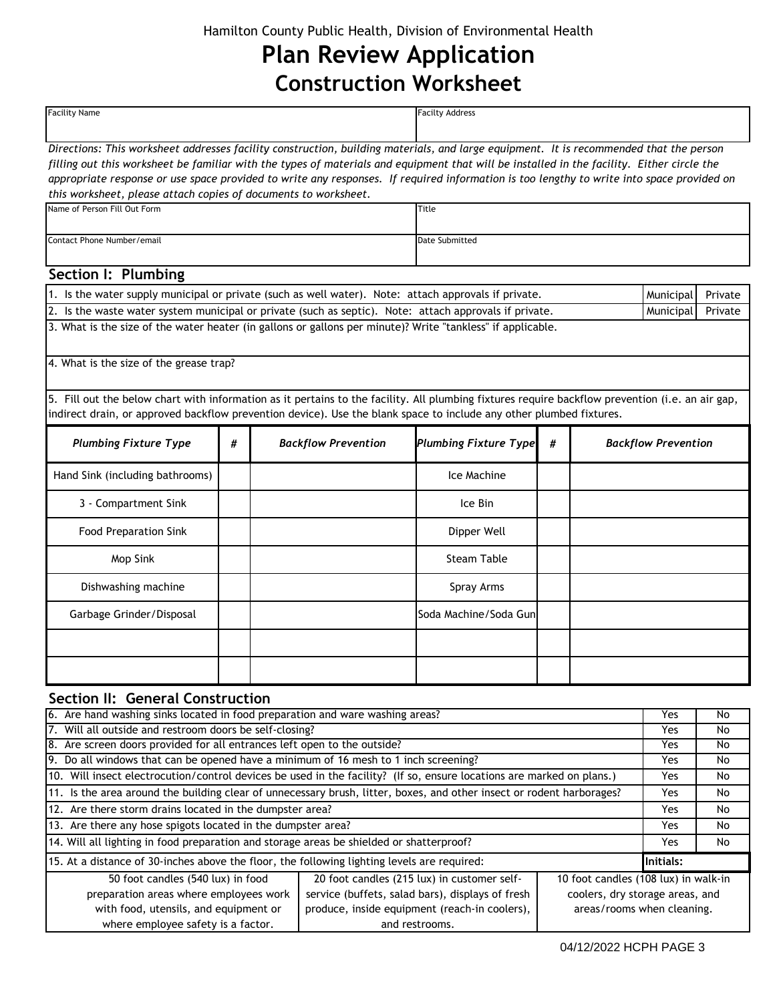# **Plan Review Application Construction Worksheet**

| <b>Facility Name</b>                                                                                                                                                                                                                                                                                                                                                                                                                                                                                 |   |  |                            | <b>Facilty Address</b>                      |   |                                      |                            |         |
|------------------------------------------------------------------------------------------------------------------------------------------------------------------------------------------------------------------------------------------------------------------------------------------------------------------------------------------------------------------------------------------------------------------------------------------------------------------------------------------------------|---|--|----------------------------|---------------------------------------------|---|--------------------------------------|----------------------------|---------|
| Directions: This worksheet addresses facility construction, building materials, and large equipment. It is recommended that the person<br>filling out this worksheet be familiar with the types of materials and equipment that will be installed in the facility. Either circle the<br>appropriate response or use space provided to write any responses. If required information is too lengthy to write into space provided on<br>this worksheet, please attach copies of documents to worksheet. |   |  |                            |                                             |   |                                      |                            |         |
| Name of Person Fill Out Form                                                                                                                                                                                                                                                                                                                                                                                                                                                                         |   |  |                            | Title                                       |   |                                      |                            |         |
| Contact Phone Number/email                                                                                                                                                                                                                                                                                                                                                                                                                                                                           |   |  |                            | Date Submitted                              |   |                                      |                            |         |
|                                                                                                                                                                                                                                                                                                                                                                                                                                                                                                      |   |  |                            |                                             |   |                                      |                            |         |
| Section I: Plumbing                                                                                                                                                                                                                                                                                                                                                                                                                                                                                  |   |  |                            |                                             |   |                                      |                            |         |
| 1. Is the water supply municipal or private (such as well water). Note: attach approvals if private.                                                                                                                                                                                                                                                                                                                                                                                                 |   |  |                            |                                             |   |                                      | Municipal                  | Private |
| 2. Is the waste water system municipal or private (such as septic). Note: attach approvals if private.                                                                                                                                                                                                                                                                                                                                                                                               |   |  |                            |                                             |   |                                      | Municipal                  | Private |
| 3. What is the size of the water heater (in gallons or gallons per minute)? Write "tankless" if applicable.                                                                                                                                                                                                                                                                                                                                                                                          |   |  |                            |                                             |   |                                      |                            |         |
| 4. What is the size of the grease trap?                                                                                                                                                                                                                                                                                                                                                                                                                                                              |   |  |                            |                                             |   |                                      |                            |         |
| 5. Fill out the below chart with information as it pertains to the facility. All plumbing fixtures require backflow prevention (i.e. an air gap,<br>indirect drain, or approved backflow prevention device). Use the blank space to include any other plumbed fixtures.                                                                                                                                                                                                                              |   |  |                            |                                             |   |                                      |                            |         |
| <b>Plumbing Fixture Type</b>                                                                                                                                                                                                                                                                                                                                                                                                                                                                         | # |  | <b>Backflow Prevention</b> | <b>Plumbing Fixture Type</b>                | # |                                      | <b>Backflow Prevention</b> |         |
| Hand Sink (including bathrooms)                                                                                                                                                                                                                                                                                                                                                                                                                                                                      |   |  |                            | Ice Machine                                 |   |                                      |                            |         |
| 3 - Compartment Sink                                                                                                                                                                                                                                                                                                                                                                                                                                                                                 |   |  |                            | Ice Bin                                     |   |                                      |                            |         |
| <b>Food Preparation Sink</b>                                                                                                                                                                                                                                                                                                                                                                                                                                                                         |   |  |                            | Dipper Well                                 |   |                                      |                            |         |
| Mop Sink                                                                                                                                                                                                                                                                                                                                                                                                                                                                                             |   |  |                            | <b>Steam Table</b>                          |   |                                      |                            |         |
| Dishwashing machine                                                                                                                                                                                                                                                                                                                                                                                                                                                                                  |   |  |                            | Spray Arms                                  |   |                                      |                            |         |
| Garbage Grinder/Disposal                                                                                                                                                                                                                                                                                                                                                                                                                                                                             |   |  |                            | Soda Machine/Soda Gun                       |   |                                      |                            |         |
|                                                                                                                                                                                                                                                                                                                                                                                                                                                                                                      |   |  |                            |                                             |   |                                      |                            |         |
|                                                                                                                                                                                                                                                                                                                                                                                                                                                                                                      |   |  |                            |                                             |   |                                      |                            |         |
| Section II: General Construction                                                                                                                                                                                                                                                                                                                                                                                                                                                                     |   |  |                            |                                             |   |                                      |                            |         |
| 6. Are hand washing sinks located in food preparation and ware washing areas?                                                                                                                                                                                                                                                                                                                                                                                                                        |   |  |                            |                                             |   |                                      | Yes                        | No      |
| 7. Will all outside and restroom doors be self-closing?                                                                                                                                                                                                                                                                                                                                                                                                                                              |   |  |                            |                                             |   |                                      | Yes                        | No      |
| 8. Are screen doors provided for all entrances left open to the outside?                                                                                                                                                                                                                                                                                                                                                                                                                             |   |  |                            |                                             |   |                                      | Yes                        | No      |
| 9. Do all windows that can be opened have a minimum of 16 mesh to 1 inch screening?                                                                                                                                                                                                                                                                                                                                                                                                                  |   |  |                            |                                             |   |                                      | Yes                        | No      |
| 10. Will insect electrocution/control devices be used in the facility? (If so, ensure locations are marked on plans.)                                                                                                                                                                                                                                                                                                                                                                                |   |  |                            |                                             |   |                                      | Yes                        | No      |
| 11. Is the area around the building clear of unnecessary brush, litter, boxes, and other insect or rodent harborages?                                                                                                                                                                                                                                                                                                                                                                                |   |  |                            |                                             |   |                                      | Yes                        | No      |
| 12. Are there storm drains located in the dumpster area?                                                                                                                                                                                                                                                                                                                                                                                                                                             |   |  |                            |                                             |   |                                      | Yes                        | No      |
| 13. Are there any hose spigots located in the dumpster area?                                                                                                                                                                                                                                                                                                                                                                                                                                         |   |  |                            |                                             |   |                                      | Yes                        | No      |
| 14. Will all lighting in food preparation and storage areas be shielded or shatterproof?                                                                                                                                                                                                                                                                                                                                                                                                             |   |  |                            |                                             |   |                                      | Yes                        | No      |
| 15. At a distance of 30-inches above the floor, the following lighting levels are required:                                                                                                                                                                                                                                                                                                                                                                                                          |   |  |                            |                                             |   |                                      | <b>Initials:</b>           |         |
| 50 foot candles (540 lux) in food                                                                                                                                                                                                                                                                                                                                                                                                                                                                    |   |  |                            | 20 foot candles (215 lux) in customer self- |   | 10 foot candles (108 lux) in walk-in |                            |         |
| preparation areas where employees work<br>service (buffets, salad bars), displays of fresh<br>coolers, dry storage areas, and                                                                                                                                                                                                                                                                                                                                                                        |   |  |                            |                                             |   |                                      |                            |         |

produce, inside equipment (reach-in coolers), and restrooms.

with food, utensils, and equipment or where employee safety is a factor.

areas/rooms when cleaning.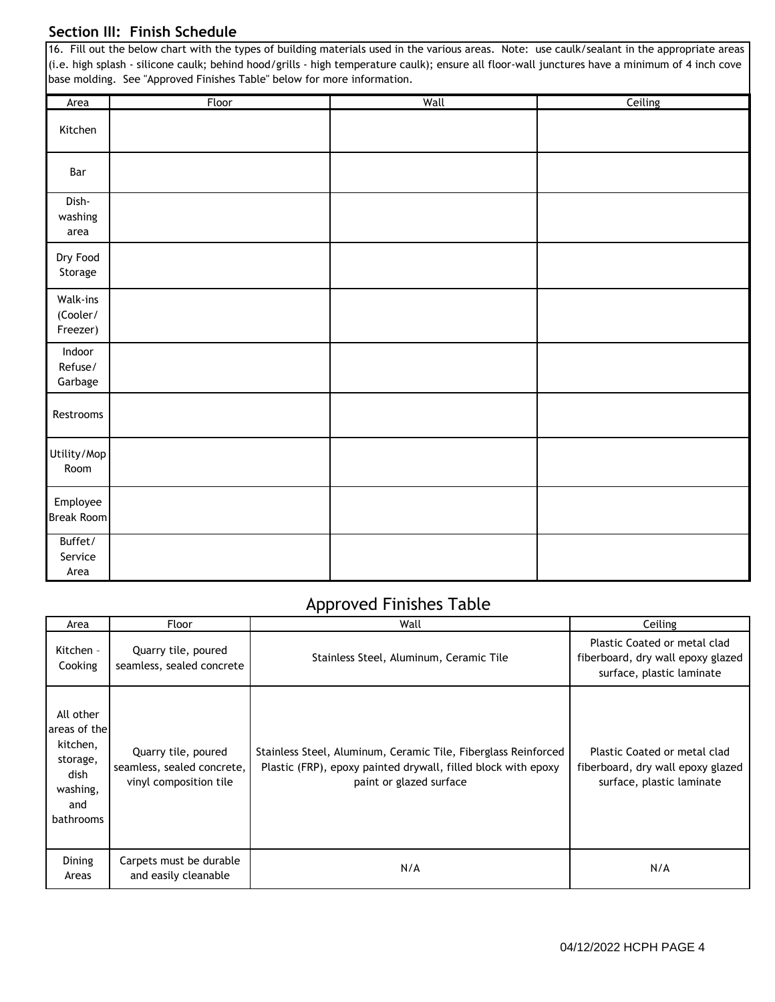#### **Section III: Finish Schedule**

|                                  | 16. Fill out the below chart with the types of building materials used in the various areas. Note: use caulk/sealant in the appropriate areas<br>(i.e. high splash - silicone caulk; behind hood/grills - high temperature caulk); ensure all floor-wall junctures have a minimum of 4 inch cove<br>base molding. See "Approved Finishes Table" below for more information. |      |         |
|----------------------------------|-----------------------------------------------------------------------------------------------------------------------------------------------------------------------------------------------------------------------------------------------------------------------------------------------------------------------------------------------------------------------------|------|---------|
| Area                             | Floor                                                                                                                                                                                                                                                                                                                                                                       | Wall | Ceiling |
| Kitchen                          |                                                                                                                                                                                                                                                                                                                                                                             |      |         |
| Bar                              |                                                                                                                                                                                                                                                                                                                                                                             |      |         |
| Dish-<br>washing<br>area         |                                                                                                                                                                                                                                                                                                                                                                             |      |         |
| Dry Food<br>Storage              |                                                                                                                                                                                                                                                                                                                                                                             |      |         |
| Walk-ins<br>(Cooler/<br>Freezer) |                                                                                                                                                                                                                                                                                                                                                                             |      |         |
| Indoor<br>Refuse/<br>Garbage     |                                                                                                                                                                                                                                                                                                                                                                             |      |         |
| Restrooms                        |                                                                                                                                                                                                                                                                                                                                                                             |      |         |
| Utility/Mop<br>Room              |                                                                                                                                                                                                                                                                                                                                                                             |      |         |
| Employee<br><b>Break Room</b>    |                                                                                                                                                                                                                                                                                                                                                                             |      |         |
| Buffet/<br>Service<br>Area       |                                                                                                                                                                                                                                                                                                                                                                             |      |         |

#### Approved Finishes Table

| Area                                                                                      | Floor                                                                       | Wall                                                                                                                                                       | Ceiling                                                                                        |
|-------------------------------------------------------------------------------------------|-----------------------------------------------------------------------------|------------------------------------------------------------------------------------------------------------------------------------------------------------|------------------------------------------------------------------------------------------------|
| Kitchen -<br>Cooking                                                                      | Quarry tile, poured<br>seamless, sealed concrete                            | Stainless Steel, Aluminum, Ceramic Tile                                                                                                                    | Plastic Coated or metal clad<br>fiberboard, dry wall epoxy glazed<br>surface, plastic laminate |
| All other<br>areas of the<br>kitchen,<br>storage,<br>dish<br>washing,<br>and<br>bathrooms | Quarry tile, poured<br>seamless, sealed concrete,<br>vinyl composition tile | Stainless Steel, Aluminum, Ceramic Tile, Fiberglass Reinforced<br>Plastic (FRP), epoxy painted drywall, filled block with epoxy<br>paint or glazed surface | Plastic Coated or metal clad<br>fiberboard, dry wall epoxy glazed<br>surface, plastic laminate |
| <b>Dining</b><br>Areas                                                                    | Carpets must be durable<br>and easily cleanable                             | N/A                                                                                                                                                        | N/A                                                                                            |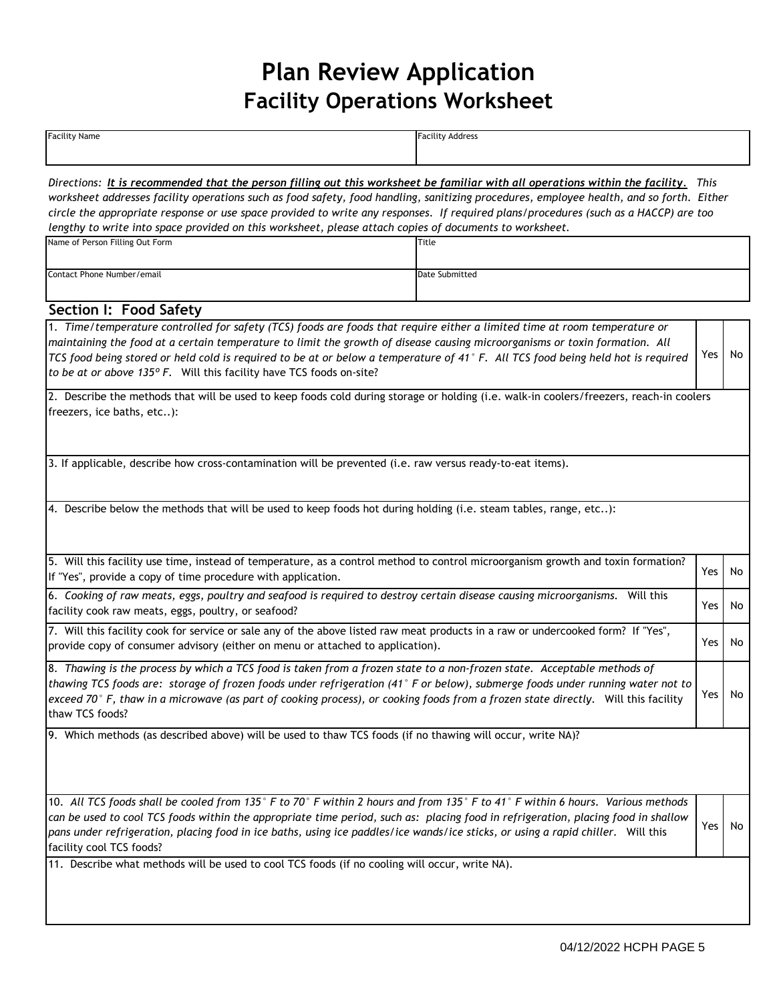# **Plan Review Application Facility Operations Worksheet**

**Facility Name Facility Address** 

| Directions: It is recommended that the person filling out this worksheet be familiar with all operations within the facility. This<br>worksheet addresses facility operations such as food safety, food handling, sanitizing procedures, employee health, and so forth. Either                                                                                                                                    |                |     |    |  |
|-------------------------------------------------------------------------------------------------------------------------------------------------------------------------------------------------------------------------------------------------------------------------------------------------------------------------------------------------------------------------------------------------------------------|----------------|-----|----|--|
| circle the appropriate response or use space provided to write any responses. If required plans/procedures (such as a HACCP) are too                                                                                                                                                                                                                                                                              |                |     |    |  |
| lengthy to write into space provided on this worksheet, please attach copies of documents to worksheet.                                                                                                                                                                                                                                                                                                           |                |     |    |  |
| Name of Person Filling Out Form                                                                                                                                                                                                                                                                                                                                                                                   | Title          |     |    |  |
| Contact Phone Number/email                                                                                                                                                                                                                                                                                                                                                                                        | Date Submitted |     |    |  |
| Section I: Food Safety                                                                                                                                                                                                                                                                                                                                                                                            |                |     |    |  |
| 1. Time/temperature controlled for safety (TCS) foods are foods that require either a limited time at room temperature or                                                                                                                                                                                                                                                                                         |                |     |    |  |
| maintaining the food at a certain temperature to limit the growth of disease causing microorganisms or toxin formation. All<br>TCS food being stored or held cold is required to be at or below a temperature of 41°F. All TCS food being held hot is required<br>to be at or above 135° F. Will this facility have TCS foods on-site?                                                                            |                | Yes | No |  |
| 2. Describe the methods that will be used to keep foods cold during storage or holding (i.e. walk-in coolers/freezers, reach-in coolers<br>freezers, ice baths, etc):                                                                                                                                                                                                                                             |                |     |    |  |
|                                                                                                                                                                                                                                                                                                                                                                                                                   |                |     |    |  |
| 3. If applicable, describe how cross-contamination will be prevented (i.e. raw versus ready-to-eat items).                                                                                                                                                                                                                                                                                                        |                |     |    |  |
|                                                                                                                                                                                                                                                                                                                                                                                                                   |                |     |    |  |
| 4. Describe below the methods that will be used to keep foods hot during holding (i.e. steam tables, range, etc):                                                                                                                                                                                                                                                                                                 |                |     |    |  |
| 5. Will this facility use time, instead of temperature, as a control method to control microorganism growth and toxin formation?                                                                                                                                                                                                                                                                                  |                | Yes | No |  |
| If "Yes", provide a copy of time procedure with application.                                                                                                                                                                                                                                                                                                                                                      |                |     |    |  |
| 6. Cooking of raw meats, eggs, poultry and seafood is required to destroy certain disease causing microorganisms. Will this<br>facility cook raw meats, eggs, poultry, or seafood?                                                                                                                                                                                                                                |                | Yes | No |  |
| 7. Will this facility cook for service or sale any of the above listed raw meat products in a raw or undercooked form? If "Yes",<br>provide copy of consumer advisory (either on menu or attached to application).                                                                                                                                                                                                |                | Yes | No |  |
| 8. Thawing is the process by which a TCS food is taken from a frozen state to a non-frozen state. Acceptable methods of<br>thawing TCS foods are: storage of frozen foods under refrigeration (41° F or below), submerge foods under running water not to<br>exceed 70° F, thaw in a microwave (as part of cooking process), or cooking foods from a frozen state directly. Will this facility<br>thaw TCS foods? |                |     |    |  |
| 9. Which methods (as described above) will be used to thaw TCS foods (if no thawing will occur, write NA)?                                                                                                                                                                                                                                                                                                        |                |     |    |  |
|                                                                                                                                                                                                                                                                                                                                                                                                                   |                |     |    |  |
| 10. All TCS foods shall be cooled from 135° F to 70° F within 2 hours and from 135° F to 41° F within 6 hours. Various methods                                                                                                                                                                                                                                                                                    |                |     |    |  |
| can be used to cool TCS foods within the appropriate time period, such as: placing food in refrigeration, placing food in shallow<br>pans under refrigeration, placing food in ice baths, using ice paddles/ice wands/ice sticks, or using a rapid chiller. Will this<br>facility cool TCS foods?                                                                                                                 |                | Yes | No |  |
| 11. Describe what methods will be used to cool TCS foods (if no cooling will occur, write NA).                                                                                                                                                                                                                                                                                                                    |                |     |    |  |
|                                                                                                                                                                                                                                                                                                                                                                                                                   |                |     |    |  |
|                                                                                                                                                                                                                                                                                                                                                                                                                   |                |     |    |  |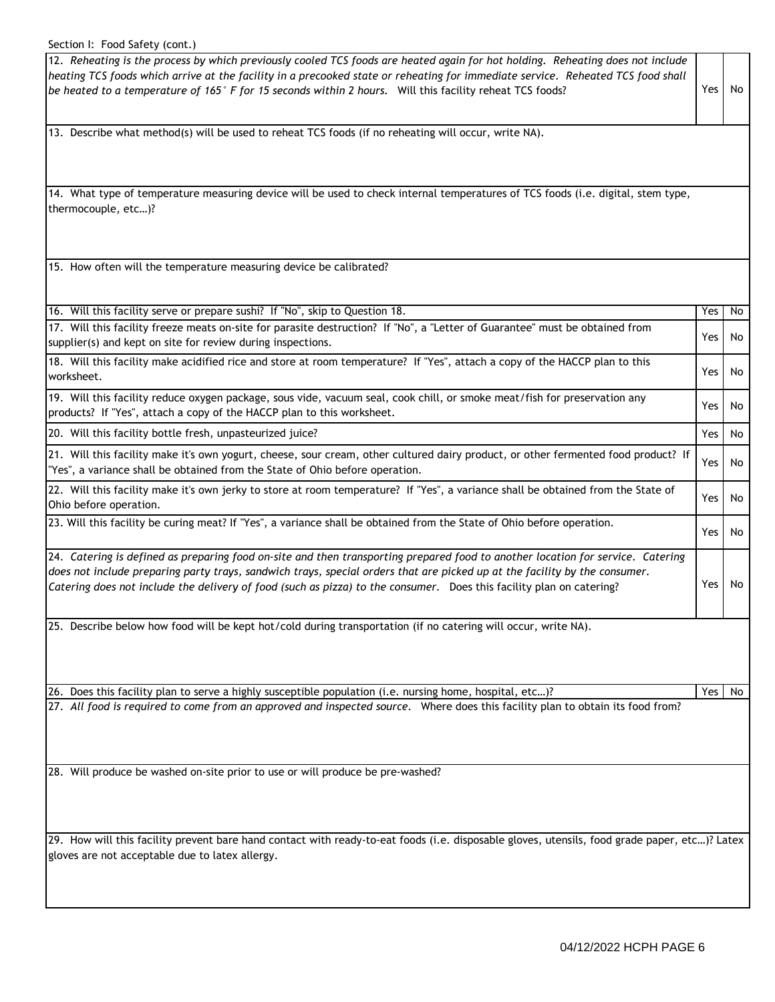#### Section I: Food Safety (cont.)

| Section I: Food Safety (cont.)                                                                                                                                                                                                                                                                                                                                                        |     |     |
|---------------------------------------------------------------------------------------------------------------------------------------------------------------------------------------------------------------------------------------------------------------------------------------------------------------------------------------------------------------------------------------|-----|-----|
| 12. Reheating is the process by which previously cooled TCS foods are heated again for hot holding. Reheating does not include<br>heating TCS foods which arrive at the facility in a precooked state or reheating for immediate service. Reheated TCS food shall<br>be heated to a temperature of 165° F for 15 seconds within 2 hours. Will this facility reheat TCS foods?         | Yes | No. |
| 13. Describe what method(s) will be used to reheat TCS foods (if no reheating will occur, write NA).                                                                                                                                                                                                                                                                                  |     |     |
| 14. What type of temperature measuring device will be used to check internal temperatures of TCS foods (i.e. digital, stem type,<br>thermocouple, etc)?                                                                                                                                                                                                                               |     |     |
| 15. How often will the temperature measuring device be calibrated?                                                                                                                                                                                                                                                                                                                    |     |     |
| 16. Will this facility serve or prepare sushi? If "No", skip to Question 18.                                                                                                                                                                                                                                                                                                          | Yes | No  |
| 17. Will this facility freeze meats on-site for parasite destruction? If "No", a "Letter of Guarantee" must be obtained from<br>supplier(s) and kept on site for review during inspections.                                                                                                                                                                                           | Yes | No  |
| 18. Will this facility make acidified rice and store at room temperature? If "Yes", attach a copy of the HACCP plan to this<br>worksheet.                                                                                                                                                                                                                                             | Yes | No  |
| 19. Will this facility reduce oxygen package, sous vide, vacuum seal, cook chill, or smoke meat/fish for preservation any<br>products? If "Yes", attach a copy of the HACCP plan to this worksheet.                                                                                                                                                                                   | Yes | No  |
| 20. Will this facility bottle fresh, unpasteurized juice?                                                                                                                                                                                                                                                                                                                             | Yes | No  |
| 21. Will this facility make it's own yogurt, cheese, sour cream, other cultured dairy product, or other fermented food product? If<br>"Yes", a variance shall be obtained from the State of Ohio before operation.                                                                                                                                                                    | Yes | No  |
| 22. Will this facility make it's own jerky to store at room temperature? If "Yes", a variance shall be obtained from the State of<br>Ohio before operation.                                                                                                                                                                                                                           | Yes | No  |
| 23. Will this facility be curing meat? If "Yes", a variance shall be obtained from the State of Ohio before operation.                                                                                                                                                                                                                                                                | Yes | No  |
| 24. Catering is defined as preparing food on-site and then transporting prepared food to another location for service. Catering<br>does not include preparing party trays, sandwich trays, special orders that are picked up at the facility by the consumer.<br>Catering does not include the delivery of food (such as pizza) to the consumer. Does this facility plan on catering? | Yes | No  |
| 25. Describe below how food will be kept hot/cold during transportation (if no catering will occur, write NA).                                                                                                                                                                                                                                                                        |     |     |
| Does this facility plan to serve a highly susceptible population (i.e. nursing home, hospital, etc)?<br>26.                                                                                                                                                                                                                                                                           | Yes | No  |
| 27. All food is required to come from an approved and inspected source. Where does this facility plan to obtain its food from?                                                                                                                                                                                                                                                        |     |     |
| 28. Will produce be washed on-site prior to use or will produce be pre-washed?                                                                                                                                                                                                                                                                                                        |     |     |
| 29. How will this facility prevent bare hand contact with ready-to-eat foods (i.e. disposable gloves, utensils, food grade paper, etc)? Latex<br>gloves are not acceptable due to latex allergy.                                                                                                                                                                                      |     |     |